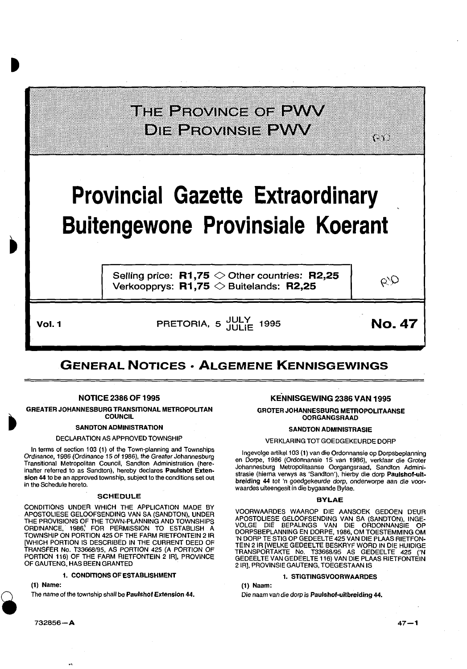### THE PROVINCE OF PWV **DIE PROVINSIE EVAV**

## **Provincial Gazette Extraordinary Buitengewone Provinsiale Koerant**

Selling price: **R1,75**  $\diamond$  Other countries: **R2,25** Verkoopprys: **R1,75**  $\diamond$  Buitelands: **R2,25** 

QD

{- \\

**Vol. 1 DELARGE PRETORIA, 5** JULY 1995 **No. 47** 

### **GENERAL NOTICES • ALGEMENE KENNISGEWINGS**

#### NOTICE 2386 OF 1995

GREATER JOHANNESBURG TRANSITIONAL METROPOLITAN **COUNCIL** 

#### SANDTON ADMINISTRATION

DECLARATION AS APPROVED TOWNSHIP

In terms of section 103 (1) of the Town-planning and Townships Ordinance, 1986 (Ordinance 15 of 1986), the Greater Johannesburg Transitional Metropolitan Council, Sandton Administration (hereinafter referred to as Sandton), hereby declares Paulshof Exten· sion 44 to be an approved township, subject to the conditions set out in tha Schedule hereto.

#### SCHEDULE

CONDITIONS UNDER WHICH THE APPLICATION MADE BY APOSTOLIESE GELOOFSENDING VAN SA (SANDTON), UNDER THE PROVISIONS OF THE TOWN-PLANNING AND TOWNSHIPS<br>ORDINANCE, 1986, FOR PERMISSION TO ESTABLISH A TOWNSHIP ON PORTION 425 OF THE FARM RIETFONTEIN 2 IR [WHICH PORTION IS DESCRIBED IN THE CURRENT DEED OF TRANSFER No. T33668195, AS PORTION 425 (A PORTION OF PORTION 116) OF THE FARM RIETFONTEIN 2 IR], PROVINCE OF GAUTENG, HAS BEEN GRANTED

#### 1. CONDITIONS OF ESTABLISHMENT

(1) Name:

The name of the township shall be Paulshof Extension 44.

#### KENNISGEWING 2386 VAN 1995

GROTER JOHANNESBURG METROPOLITAANSE OORGANGSRAAD

#### SANDTON ADMINISTRASIE

#### VERKLARING TOT GOEDGEKEURDE DORP

lngevolge artike1103 (1) van die Ordonnansie op Dorpsbeplanning en Dorpe, 1986 (Ordonnansie 15 van 1986), verklaar die Grater Johannesburg Metropolitaanse Oorgangsraad, Sandton Administrasie (hierna verwys as 'Sandton'), hierby die dorp Paulshof-uit· breiding 44 tot 'n goedgekeurde dorp, onderworpe aan die voorwaardes uiteengesit in die bygaande Bylae.

#### BYLAE

VOORWAARDES WAAROP DIE AANSOEK GEDOEN DEUR APOSTOLIESE GELOOFSENDING VAN SA (SANDTON), INGE-VOLGE DIE BEPALINGS VAN DIE ORDONNANSIE OP DORPSBEPLANNING EN DORPE, 1986, OM TOESTEMMING OM 'N DORP TE STIG OP GEDEELTE 425 VAN DIE PLAAS RIETFON-TEIN 21R [WELKE GEDEELTE BESKRYF WORD IN DIE HUIDIGE TRANSPORTAKTE No. T33668195 AS GEDEELTE 425 ('N GEDEEL TE VAN GEDEEL TE 116) VAN DIE PLAAS RIETFONTEIN 2 IR], PROVINSIE GAUTENG, TOEGESTAAN IS

#### 1. STIGTINGSVOORWAARDES

(1) Naam:

Die naam van die dorp is Paulshof·uitbrelding 44.

732856-A

 $47 - 1$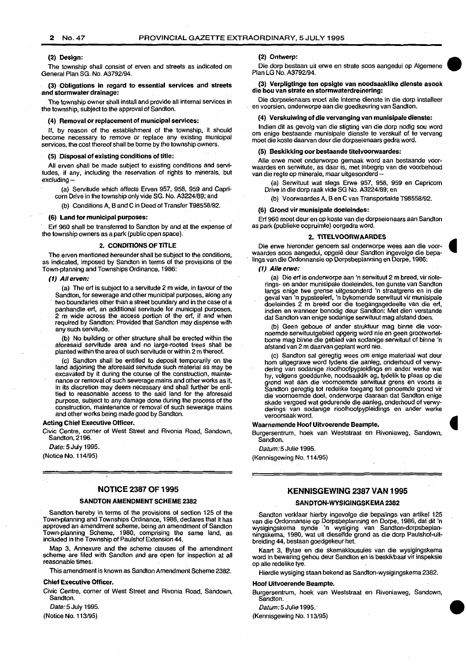#### (2) Design:

The township shall consist of erven and streets as indicated on General Plan SG. No. A3792/94.

#### (3) Obligations in regard to essential services and streets and stormwater drainage:

The township owner shall install and provide all internal services in the township, subject to the approval of Sandton.

#### (4) Removal or replacement of municipal services:

If, by reason of the establishment of the township, it should become necessary to remove or replace any existing municipal services, the cost thereof shall be borne by the township owners.

#### (5) Disposal of existing conditions of title:

All erven shall be made subject to existing conditions and servitudes, if any, including the reservation of rights to minerals, but excluding-

- (a) Servitude which affects Erven 957, 958, 959 and Capri-
- corn Drive in the township only vide SG. No. A3224/89; and
- (b) Conditions A, B and C in Deed of Transfer T98558/92.

#### (6) Land for municipal purposes:

Erf 960 shall be transferred to Sandton by and at the expense of the township owners as a park (public open space).

#### 2. CONDITIONS OF TITLE

The erven mentioned hereunder shall be subject to the conditions, as indicated, imposed by Sandton in terms of the provisions of the Town-planning and Townships Ordinance, 1986:

#### (1) All erven:

(a) The erf is subject to a servitude 2 m wide, in favour of the Sandton, for sewerage and other municipal purposes, along any two boundaries other than a street boundary and in the case of a panhandle erf, an additional servitude for municipal purposes, 2 m wide across the access portion of the erf, if and when required by Sandton: Provided that Sandton may dispense with any such servitude.

(b) No building or other structure shall be erected within the aforesaid servitude area and no large-rooted trees shall be. planted within the area of such servitude or within 2 m thereof.

Sandton shall be entitled to deposit temporarily on the land adjoining the aforesaid servitude such material as may be excavated by it during the course of the construction, maintenance or removal of such sewerage mains and other works as it, in its discretion may deem necessary and shall further be entitled to reasonable access to the said land for the aforesaid purpose, subject to any damage done during the process of the construction, maintenance or removal of such sewerage mains and other works being made good by Sandton.

#### Acting Chief Executive Officer.

Civic Centre, corner of West Street and Rivonia Road, Sandown, Sandton, 2196.

Date: 5 July 1995.

(Notice No. 114/95)

#### NOTICE 2387 OF 1995

#### SANDTON AMENDMENT SCHEME 2382

Sandton hereby in terms of the provisions of section 125 of the Town-planning and Townships Ordinance, 1986, declares that it has approved an amendment scheme, being an amendment of Sandton Town-planning Scheme, 1980, comprising the same land, as included in the Township of Paulshof Extension 44.

Map 3, Annexure and the scheme clauses of the amendment scheme are filed with Sandton and are open for inspection at all reasonable times.

This amendment is known as Sandton Amendment Scheme 2382.

#### Chief Executive Officer.

Civic Centre, corner of West Street and Rivonia Road, Sandown, Sandton.

Date: 5 July 1995.

(Notice No. 113/95)

#### (2) Ontwerp:

Die dorp bestaan uit erwe en strate soos aangedui op Algemene Plan LG No. A3792/94.

#### (3) Verpligtinge ten opsigte van noodsaaklike dienste asook die bou van strate en stormwaterdreinering:

Die dorpseienaars moet aile interne dienste in die dorp installeer en voorsien, onderworpe aan die goedkeuring van Sandton.

#### (4) Verskuiwing of die vervanging van munisipale dienste:

lndien dit as gevolg van die stigting van die dorp nodig sou word om enige bestaande munisipale dienste te verskuif of te vervang moet die koste daarvan deur die dorpseienaars gedra word.

#### (5) Beskikking oor bestaande titelvoorwaardes:

Aile erwe moet onderworpe gemaak word aan bestaande voorwaardes en serwitute, as daar is, met inbegrip van die voorbehoud van die regie op minerale, maar uitgesonderd-

(a) Serwituut wat slegs Erwe 957, 958, 959 en Capricorn Drive in die dorp raak vide SG No. A3224/89; en

(b) Voorwaardes A, Ben C van Transportakte T98558/92.

#### (6) Grond vir munisipale doeleindes:

Erf 960 moet deur en op koste van die dorpseienaars aan Sandton as park (publieke oopruimte) oorgedra word.

#### 2. TITELVOORWAARDES

Die erwe hieronder genoem sal onderworpe wees aan die voorwaardes soos aangedui, opgelê deur Sandton ingevolge die bepalings van die Ordonnansie op Dorpsbeplanning en Dorpe, 1986:

#### (1) Aile erwe:

(a) Die erf is onderworpe aan 'n serwituut 2 m breed, vir riolerings- en ander munisipale doeleindes, ten gunste van Sandton langs enige twe grense uitgesonderd 'n straatgrens en in die geval van 'n pypsteelerf, 'n bykomende serwituut vir munisipale doeleindes 2 m breed oor die toegangsgedeelte van die erf, indien en wanneer benodig deur Sandton: Met dien verstande dat Sandton van enige sodanige serwituut mag afstand doen.

(b) Geen geboue of ander struktuur mag binne die voornoemde serwituutgebied opgerig word nie en geen grootwortelbome mag binne die gebied van sodanige serwituut of binne 'n afstand van 2m daarvan geplant word nie.

(c) Sandton sal geregtig wees om enige materiaal wat deur hom uitgegrawe word tydens die aanleg, onderhoud of verwydering van sodanige rioolhoofpypleidings en ander werke wat hy, volgens goeddunke, noodsaaklik ag, tydelik te plaas op die grond wat aan die voornoemde serwituut grens en voorts is Sandton geregtig tot redelike toegang tot genoemde grond vir die voornoemde doel, onderworpe daaraan dat Sandton enige skade vergoed wat gedurende die aanleg, onderhoud of verwyderings van sodanige rioolhoofpypleidings en ander werke veroorsaak word.

#### Waarnemende Hoof Uitvoerende Beampte.

Burgersentrum, hoek van Weststraat en Rivoniaweg, Sandown, Sandton.

Datum: 5 Julie 1995.

(Kennisgewing No. 114/95)

#### KENNISGEWING 2387 VAN 1995

#### SANDTON-WYSIGINGSKEMA 2382

Sandton verklaar hierby ingevolge die bepalings van artikel 125 van die Ordonnansie op Dorpsbeplanning en Dorpe, 1986, dat dit 'n wysigingskema synde 'n wysiging van Sandton-dorpsbeplanningskema, 1980, wat uit dieselfde grond as die dorp Paulshot-u" breiding 44, bestaan goedgekeur het.

Kaart 3, Bylae en die skemaklousules van die wysigingskema word in bewaring gehou deur Sandton en is beskikbaar vir inspeksie op alle redelike tye.

Hierdie wysiging staan bekend as Sandton-wysigingskema 2382.

#### Hoof Uitvoerende Beampte.

Burgersentrum, hoek van Weststraat en Rivoniaweg, Sandown, Sandton. Hoor Ultvoerende Beampte.<br>Burgersentrum, hoek van Weststraat en Rivoniaweg, Sandown, Sandton.<br>Sandton.<br>(Kennisgewing No. 113/95)

Datum: 5 Julie 1995. ·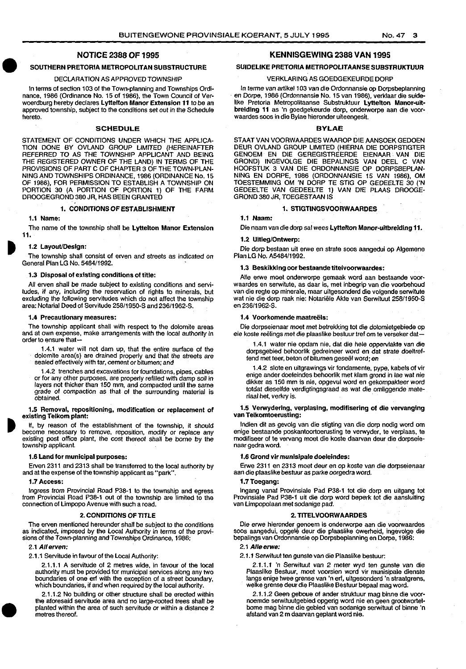#### NOTICE 2388 OF 1995

#### SOUTHERN PRETORIA METROPOLITAN SUBSTRUCTURE

#### DECLARATION AS APPROVED TOWNSHIP

 $\begin{array}{c}\n\bullet \\
\bullet \\
\bullet \\
\bullet\n\end{array}$ In terms of section 103 of the Town-planning and Townships Ordinance, 1986 (Ordinance No. 15 of 1986), the Town Council of Verwoerdburg hereby declares Lyttelton Manor Extension 11 to be an approved township, subject to the conditions set out in the Schedule hereto.

#### SCHEDULE

STATEMENT OF CONDITIONS UNDER WHICH THE APPLICA-TION DONE BY OVLAND GROUP LIMITED (HEREINAFTER REFERRED TO AS THE TOWNSHIP APPLICANT AND BEING THE REGISTERED OWNER OF THE LAND) IN TERMS OF THE PROVISIONS OF PART C OF CHAPTER 3 OF THE TOWN-PLAN-NING AND TOWNSHIPS ORDINANCE, 1986 (ORDINANCE No. 15 OF 1986), FOR PERMISSION TO ESTABLISH A TOWNSHIP ON PORTION 30 (A PORTION OF PORTION 1) OF THE FARM DROOGEGROND 380 JR, HAS BEEN GRANTED

#### 1. CONDITIONS OF ESTABLISHMENT

#### 1.1 Name:

The name of the township shall be Lyttelton Manor Extension 11.

#### 1.2 Layout/Design:

The township shall consist of erven and streets as indicated on General Plan LG No. 5484/1992. ·

#### 1.3 Disposal of existing conditions of title:

All erven shall be made subject to existing conditions and servitudes, if any, including the reservation of rights to minerals, but excluding the following servitudes which do not affect the township area: Notarial Deed of Servitude 258/1950-S and 236/1962-S.

#### 1.4 Precautionary measures:

The township applicant shall with respect to the dolomite areas and at own expense, make arrangements with the local authority in order to ensure that-

1.4.1 water will not dam up, that the entire surface of the dolomite area(s) are drained properly and ihat the streets are sealed effectively with tar, cement or bitumen; and

1.4.2 trenches and excavations for foundations, pipes, cables or for any other purposes, are properly refilled with damp soil in layers not thicker than 150 mm, and compacted until the same grade of compaction as that of the surrounding material is obtained.

#### 1.5 Removal, repositioning, modification or replacement of existing Telkom plant:

If, by reason of the establishment of the township, it should become necessary to remove, reposition, modify or replace any existing post office plant, the cost thereof shall be borne by the township applicant.

#### 1.6 Land for municipal purposes:

Erven 2311 and 2313 shall be transferred to the local authority by and at the expense of the township applicant as "park".

#### 1.7 Access:

Ingress from Provincial Road P38-1 to the township and egress from Provincial Road P38-1 out of the township are limited to the connection of Limpopo Avenue with such a road.

#### 2. CONDITIONS OF TITLE

The erven mentioned hereunder shall be subject to the conditions as indicated, imposed by the Local Authority in terms of the provisions of the Town-planning and Townships Ordinance, 1986:

#### 2.1 All erven:

•

2.1.1 Servitude in favour of the Local Authority:

2.1.1.1 A servitude of 2 metres wide, in favour of the local authority must be provided for municipal services along any two boundaries of one erf with the exception of a street boundary, which boundaries, if and when required by the local authority.

2.1.1.2 No building or other structure shall be erected within the aforesaid servitude area and no large-rooted trees shall be planted within the area of such servitude or within a distance 2 metres thereof.

#### KENNISGEWING 2388 VAN 1995

#### SUIDELIKE PRETORIA METROPOLITAANSE SUBSTRUKTUUR

#### VERKLARING AS GOEDGEKEURDE DORP

In terme van artikel 103 van die Ordonnansie op Dorpsbeplanning en Dorpe, 1986 (Ordonnansie No. 15 van 1986), verklaar die suidelike Pretoria Metropolitaanse Substruktuur Lyttelton Manor-uitbreiding 11 as 'n goedgekeurde dorp, onderworpe aan die voorwaardes soos in die Bylae hieronder uiteengesit.

#### BYLAE

STAAT VAN VOORWAARDES WAAROP DIE AANSOEK GEDOEN DEUR OVLAND GROUP LIMITED (HIERNA DIE DORPSTIGTER GENOEM EN DIE GEREGISTREERDE EIENAAR . VAN DIE GROND) INGEVOLGE DIE BEPALINGS VAN DEEL C VAN HOOFSTUK 3 VAN DIE ORDONNANSIE OP DORPSBEPLAN-NING EN DORPE, 1986 (ORDONNANSIE 15 VAN 1986), OM TOESTEMMING OM 'N DORP TE STIG OP GEDEELTE 30 ('N GEDEELTE VAN GEDEELTE 1) VAN DIE PLAAS DROOGE· GROND 380 JR, TOEGEST AAN IS

#### 1. STIGTINGSVOORWAARDES

1.1 Naam:

Die naam van die dorp sal wees Lyttelton Manor-uitbreiding 11.

#### 1.2 Uitleg/Ontwerp:

Die dorp bestaan uit erwe en strata soos aangedui op Algemene Plan LG No. A548411992.

#### 1.3 Beskikklng oar bestaande titelvoorwaardes:

Alle erwe moet onderworpe gemaak word aan bestaande voorwaardes en serwitute, as daar is, met inbegrip van die voorbehoud van die regie op minerale, maar uitgesonderd die volgende serwitute wat nie die dorp raak nie: Notariele Akte van Serwituut 258/1950-S en 236/1962-S.

#### 1.4 Voorkomende maatreëls:

Die dorpseienaar moet met betrekking tot die dolomietgebiede op eie koste reelings met die plaaslike bestuur tref om te verseker dat-

1.4.1 water nie opdam nie, dat die hele oppervlakte van die dorpsgebied behoorlik gedreineer word en dat strate doeltreffend met teer, be ton of bitumen geseel word; en

1.4.2 slate en uitgrawings vir fondamente, pype, kabels of vir enige ander doeleindes behoorlik met klam grond in lae wat nie dikker as 150 mm is nie, opgevul word en gekompakteer word totdat dieselfde verdigtingsgraad as wat die omliggende materiaal het, verkry is.

#### 1.5 Verwydering, verplasing, modifisering of die vervanging van Telkomtoerusting:

lndien dit as gevolg van die stigting van die dorp nodig word om enige bestaande poskantoortoerusting te verwyder, te verplaas, te modifiseer of te vervang moet die koste daarvan deur die dorpseienaar gedra word.

#### 1.6 Grond vir munlsipale doeleindes:

Erwe 2311 en 2313 moe! deur en op koste van die dorpseienaar aan die plaaslike bestuur as parke oorgedra word.

#### 1.7Toegang:

lngang vanaf Provinsiale Pad P38-1 tot die dorp en uitgang tot Provinsiale Pad P38-1 uit die dorp word beperk tot die aansluiting van Umpopolaan met sodanige pad.

#### 2. TITELVOORWAARDES

Die erwe hieronder genoem is onderworpe aan die voorwaardes soos aangedui, opgele deur die plaaslike owerheid, ingevolge die bepalings van Ordonnansie op Dorpsbeplanning en Dorpe, 1986:

#### 2.1 Aile erwe:

2.1.1 Serwituut ten gunste van die Plaaslike bestuur:

2.1.1.1 'n Serwituut *van* 2 meter wyd ten gunste van die Plaaslike Bestuur, moet voorsien word vir munisipale dienste langs enige twee grense van 'n erf, uitgesonderd 'n straatgrens, welke grense deur die Plaaslike Bestuur bepaal mag word.

2.1.1.2 Geen geboue of ander struktuur mag binne die voornoemde serwituutgebied opgerig word nie en geen grootwortelbome mag binne die gebied van sodanige serwituut of binne 'n afstand van 2 m daarvan geplant word nie.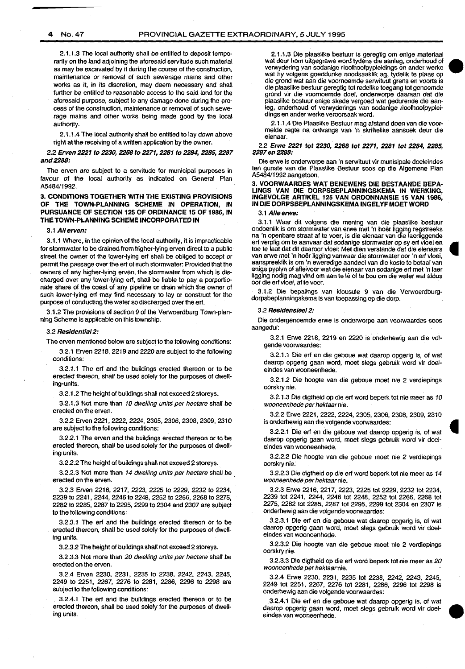2.1.1.3 The local authority shall be entitled to deposit temporarily on the land adjoining the aforesaid servitude such material as may be excavated by it during the course of the construction, maintenance or removal of such sewerage mains and other works as it, in its discretion, may deem necessary and shall further be entitled to reasonable access to the said land for the aforesaid purpose, subject to any damage done during the process of the construction, maintenance or removal of such sewerage mains and other works being made good by the local authority.

2.1.1.4 The local authority shall be entitled to lay down above right at the receiving of a written application by the owner.

2.2 Erven 2221 to 2230, 2268 to 2271, 2281 to 2284, 2285, 2287 and2288:

The erven are subject to a servitude for municipal purposes in favour of the local authority as indicated on General Plan A5484/1992.

#### 3- CONDITIONS TOGETHER WITH THE EXISTING PROVISIONS OF THE TOWN-PLANNING SCHEME IN OPERATION, IN PURSUANCE OF SECTION 125 OF ORDINANCE 15 OF 1986, IN THE TOWN-PLANNING SCHEME INCORPORATED IN

#### 3.1 *All* erven:

3.1.1 Where, in the opinion of the local authority, it is impracticable for stormwater to be drained from higher-lying erven direct to a public street the owner of the lower-lying ert shall be obliged to accept or permit the passage over the ert of such stormwater: Provided that the owners of any higher-lying erven, the stormwater from which is discharged over any lower-lying ert, shall be liable to pay a porportionate share of the coast of any pipeline or drain which the owner of such lower-lying erf may find necessary to lay or construct for the purpose of conducting the water so discharged over the erf.

3.1.2 The provisions of section 9 of the Verwoerdburg Town-planning Scheme is applicable on this township.

#### 3.2 Residential 2:

The erven mentioned below are subject to the following conditions:

3.2.1 Erven 2218, 2219 and 2220 are subject to the following conditions:

3.2.1.1 The erf and the buildings erected thereon or to be erected thereon, shall be used solely for the purposes of dwelling-units.

3.2.1.2 The height of buildings shall not exceed 2 storeys.

3.2.1.3 Not more than 10 dwelling units per hectare shall be erected on the erven.

3.2.2 Erven 2221, 2222, 2224, 2305, 2306, 2308, 2309, 2310 are subject to the following conditions:

3.2.2.1 The erven and the buildings erected thereon or to be erected thereon, shall be used solely for the purposes of dwelling units.

3.2.2.2 The height of buildings shall not exceed 2 storeys.

3.2.2.3 Not more than 14 dwelling units per hectare shall be erected on the erven.

3.2.3 Erven 2216, 2217, 2223, 2225 to 2229, 2232 to 2234, 2239 to 2241, 2244, 2246 to 2248, 2252 to 2266, 2268 to 2275, 2282 to 2285, 2287 to 2295, 2299 to 2304 and 2307 are subject to the following conditions:

3.2.3.1 The erf and the buildings erected thereon or to be erected thereon, shall be used solely for the purposes of dwelling units.

3.2.3.2 The height of buildings shall not exceed 2 storeys.

3.2.3.3 Not more than 20 dwelling units per hectare shall be erected on the erven.

3.2.4 Erven 2230, 2231, 2235 to 2238, 2242, 2243, 2245, 2249 to 2251, 2267, 2276 to 2281, 2286, 2296 to 2298 are subject to the following conditions:

3.2.4.1 The erf and the buildings erected thereon or to be erected thereon, shall be used solely for the purposes of dwelling units.

2.1.1.3 Die plaaslike bestuur is geregtig om enige materiaal wat deur hom uitgegrawe word tydens die aanleg, onderhoud of verwydering van sodanige rioolhoofpypleidings en ander werke wat hy volgens goeddunke noodsaaklik ag, tydelik te plaas op die grand wat aan die voornoemde serwituut grens en voorts is die plaaslike bestuur geregtig tot redelike toegang tot genoemde grand vir die voornoemde doel, onderworpe daaraan dat die plaaslike bestuur enige skade vergoed wat gedurende die aanleg, onderhoud of verwyderings van sodanige rioolhoofpypleidings en ander werke veroorsaak word.

2.1 .1 .4 Die Plaaslike Bestuur mag alstand doen van die voormelde regie na ontvangs van 'n skriltelike aansoek deur die eienaar.

2.2 Erwe 2221 tot 2230, 2268 tot 2271, 2281 tot 2284, 2285, 2287 en 2288:

Die erwe is onderworpe aan 'n serwituut vir munisipale doeleindes ten gunste van die Plaaslike Bestuur soos op die Algemene Plan A5484/1992 aangetoon.

#### 3. VOORWAARDES WAT BENEWENS DIE BESTAANDE BEPA· LINGS VAN DIE DORPSBEPLANNINGSKEMA IN WERKING, INGEVOLGE ARTIKEL 125 VAN ORDONNANSIE 15 VAN 1986, IN DIE DORPSBEPLANNINGSKEMA INGEL YF MOET WORD

#### 3.1 Aile erwe:

3.1.1 Waar dit volgens die mening van die plaaslike bestuur ondoenlik is om stormwater van erwe met 'n hoer ligging regstreeks na 'n openbare straat at te voer, is die eienaar van die laerliggende erf verplig om te aanvaar dat sodanige stormwater op sy erf vloei en toe te laat dat dit daaroor vloei: Met dien verstande dat die eienaars van erwe met 'n hoër ligging vanwaar die stormwater oor 'n erf vloei, aanspreeklik is om 'n eweredige aandeel van die koste te betaal van enige pyplyn of afleivoor wat die eienaar van sodanige erf met 'n laer ligging nodig mag vind om aan te lê of te bou om die water wat aldus oor die erf vloei, *at* te voer.

3.1.2 Die bepalings van klousule 9 van die Verwoerdburgdorpsbeplanningskema is van toepassing op die dorp.

#### 3.2 Residens/ee/2:

Die ondergenoemde erwe is onderworpe aan voorwaardes soos aangedui:

3.2.1 Erwe 2218, 2219 en 2220 is onderhewig aan die volgende voorwaardes:

3.2.1.1 Die erf en die geboue wat daarop opgerig is, of wat daarop opgerig gaan word, moet slegs gebruik word vir doeleindes van wooneenhede.

3.2.1.2 Die hoogte van die geboue moet nie 2 verdiepings oorskry nie.

3.2.1.3 Die digtheid op die erf word beperk tot nie meer as 10 wooneenhede per hektaarnie.

3.2.2 Erwe 2221, 2222,2224, 2305,2306, 2308, 2309, 2310 is onderhewig aan die volgende voorwaardes:

3.2.2.1 Die erf en die geboue wat daarop opgerig is, of wat daarop opgerig gaan word, moet slegs gebruik word vir doeleindes van wooneenhede.

3.2.2.2 Die hoogte van die geboue moet nie 2 verdiepings oorskry nie:

3.2.2.3 Die digtheid op die erf word beperk tot nie meer as 14 wooneenhede per hektaarnie.

3.2.3 Erwe 2216, 2217, 2223, 2225 tot 2229, 2232 tot 2234, 2239 tot 2241, 2244, 2246 tot 2248, 2252 tot 2266, 2268 tot 2275, 2282 tot 2285, 2287 tot 2295, 2299 tot 2304 en 2307 is onderhewig aan die volgende voorwaardes:

3.2.3.1 Die erf en die geboue wat daarop opgerig is, of wat daarop opgerig gaan word, moet slegs gebruik word vir doeleindes van wooneenhede.

3.2.3.2 Die hoagie van die geboue moot nie 2 verdiepings oorskry nie.

3.2.3.3 Die digtheid op die ert word beperk tot nie meer as *20*  wooneenhede per hektaar nie.

3.2.4 Erwe 2230, 2231, 2235 tot 2238, 2242, 2243, 2245, 2249 tot 2251, 2267, 2276 tot 2281, 2286, 2296 tot 2298 is onderhewig aan die volgende voorwaardes:

3.2.4.1 Die ert en die geboue wat daarop opgerig is, of wat daarop opgerig gaan word, moet slegs gebruik word vir doeleindes van wooneenhede.

•

•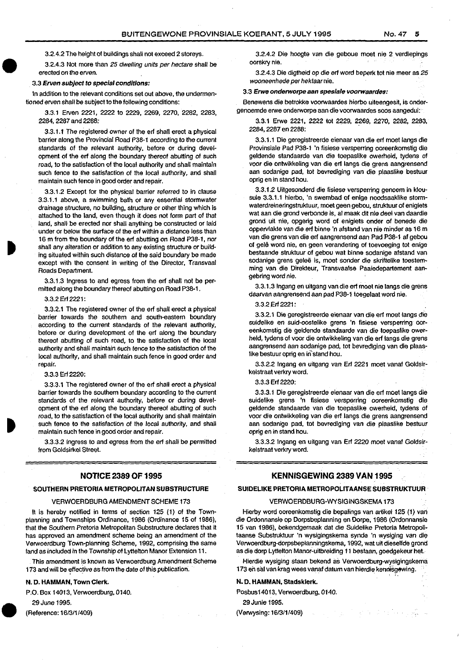3.2.4.2 The height of buildings shall not exceed 2 storeys.

3.2.4.3 Not more than 25 dwelling units per hectare shall be erected on the erven.

3.3 Erven subject to special conditions:

 $\begin{array}{c} \bullet \\ 3 \\ \bullet \\ 1r \end{array}$ In addition to the relevant conditions set out above, the undermentioned erven shall be subject to the following conditions:

> 3.3.1 Erven 2221, 2222 to 2229, 2269, 2270, 2282, 2283, 2284, 2287 and 2288:

> 3.3.1.1 The registered owner of the erf shall erect a physical barrier along the Provincial Road P38-1 according to the current standards of the relevant authority, before or during development of the erf along the boundary thereof abutting of such road, to the satisfaction of the local authority and shall maintain such fence to the satisfaction of the local authority, and shall maintain such fence in good order and repair.

 $\begin{array}{c}\n\bullet \\
\bullet \\
\bullet \\
\bullet \\
\bullet \\
\bullet \\
\bullet \\
\bullet \\
\bullet\n\end{array}$ 3.3.1.2 Except for the physical barrier referred to in clause 3.3.1.1 above, a swimming bath or any essential stormwater drainage structure, no building, structure or other thing which is attached to the land, even though it does not form part of that land, shall be erected nor shall anything be constructed or laid under or below the surface of the erf within a distance less than 16 m from the boundary of the erf abutting on Road P38-1, nor shall any alteration or addition to any existing structure or building situated within such distance of the said boundary be made except with the consent in writing of the Director, Transvaal Roads Department.

3.3.1.3 Ingress to and egress from the erf shall not be permitted along the boundary thereof abutting on Road P38-1 .

2. Erf 2221:

3.3.2.1 The registered owner of the erf shall erect a physical barrier towards the southern and south-eastern boundary according to the current standards of the relevant authority, before or during development of the erf along the boundary thereof abutting of such road, to the satisfaction of the local authority and shall maintain such fence to the satisfaction of the local authority, and shall maintain such fence in good order and repair.

#### 3.3.3 Erf 2220:

3.3.3.1 The registered owner of the erf shall erect a physical barrier towards the southern boundary according to the current standards of the relevant authority, before or during development of the erf along the boundary thereof abutting of such road, to the satisfaction of the local authority and shall maintain such fence to the satisfaction of the local authority, and shall maintain such fence in good order and repair.

3.3.3.2 ingress to and egress from the erf shall be permitted from Goldsirkel Street.

#### NOTICE 2389 OF 1995

#### SOUTHERN PRETORIA METROPOLITAN SUBSTRUCTURE

#### VERWOERDBURG AMENDMENT SCHEME 173

It is hereby notified in terms of section 125 (1) of the Townplanning and Townships Ordinance, 1986 (Ordinance 15 of 1986), that the Southern Pretoria Metropolitan Substructure declares that it has approved an amendment scheme being an amendment of the Verwoerdburg Town-planning Scheme, 1992, comprising the same land as included in the Township of Lyttelton Manor Extension 11.

This amendment is known as Verwoerdburg Amendment Scheme 173 and will be effective as from the date of this publication.

#### N.D. HAMMAN, Town Clerk.

P.O. Box 14013, Verwoerdburg, 0140.

29 June 1995.

P.O (Reference: 16/3/1/409)

3.2.4.2 Die hoogte van die geboue moet nie 2 verdiepings oorskry nie.

3.2.4.3 Die digtheid op die erf word beperk tot nie meer as 25 wooneenhede per hektaarnie.

#### 3.3 Erwe onderworpe aan spes/ale voorwaardes:

Benewens die betrokke voorwaardes hierbo uiteengesit, is ondergenoemde erwe onderworpe aan die voorwaardes soos aangedui:

3.3.1 Erwe 2221, 2222 tot 2229, 2269, 2270, 2282, 2283, 2284, 2287 en 2288:

3.3.1.1 Die geregistreerde eienaar van die erf moet langs die Provinsiale Pad P38-1 'n fisiese versperring oareenkomstig die geldende standaarde van die toepaslike owerheid, tydens of voor die ontwikkeling van die erf langs die grens aangrensend aan sodanige pad, tot bevrediging van die plaaslike bestuur oprig en in stand hou.

3.3.1.2 Uitgesonderd die fisiese versperring genoem in klousule 3.3.1.1 hierbo, 'n swembad of enige noodsaaklike stormwaterdreineringstruktuur, moet geen gebou, struktuur of enigiets wat aan die grond verbonde is, al maak dit nie deel van daardie grond uit nie, opgerig word of enigiets onder of benede die oppervlakte van die erf binne 'n afstand van nie minder as 16 m van die grens van die erf aangrensend aan Pad P38-1 af gebou of gale word nie, en geen verandering of toevoeging tot enige bestaande struktuur of gebou wat binne sodanige afstand van sodanige grens geleë is, moet sonder die skriftelike toestemming van die Direkteur, Transvaalse Paaiedepartement aangebring word nie.

3.3.1.3 lngang en uitgang van die erf moat nie fangs die grens daarvan aangrensend aan pad P38-1 toegelaat word nie.

#### 3.3.2 Erf 2221:

3.3.2.1 Die geregistreerde eienaar van die erf moet fangs die suidelike en suid-oostelike grens 'n fisiese versperring ooreenkomstig die geldende standaarde van die toepaslike owerheid, tydens of voor die ontwikkeling van die erf langs die grens aangrensend aan sodanige pad, tot bevrediging van die plaaslike bestuur oprig en in stand hou.

3.3.2.2 Ingang en uitgang van Erf 2221 moet vanaf Goldsirkelstraat verkry word.

#### 3.3.3 Erf 2220:

3.3.3.1 Die geregistreerde eienaar van die erf moet fangs die suidelike grens 'n fisiese versperring ooreenkomstig die geldende standaarde van die toepaslike owerheid, tydens of voor die ontwikkeling van die erf fangs die grens aangrensend aan sodanige pad, tot bevrediging van die plaaslike bestuur oprig en in stand hou.

3.3.3.2 lngang en uitgang van Erl 2220 moat vanaf Goldsirkelstraat verkry word.

#### KENNISGEWING 2389 VAN 1995

#### SUIDELIKE PRETORIA METROPOLITAANSE SUBSTRUKTUUR

#### VERWOERDBURG-WYSIGINGSKEMA 173

Hierby word ooreenkomstig die bepalings van artikel 125 (1) van die Ordonnansie op Dorpsbeplanning en Dorpe, 1986 (Ordonnansie 15 van 1986), bekendgemaak dat die Suidelike Pretoria Metropolitaanse Substrukluur 'n wysigingskema synde 'n wysiging van die Verwoerdburg-dorpsbeplanningskema, 1992, wat uit dieselfde grond as die dorp Lyttelton Manor-uitbreiding 11 bestaan, goedgekeur hat.

Hierdie wysiging staan bekend as Verwoerdburg-wysigingskema 173 en sal van krag wees vanaf datum van hierdie kennisgowing.

#### N.D. HAMMAN, Stadsklerk.

Posbus14013, Verwoerdburg, 0140.

29 Junie 1995.

(Verwysing: 16/3/1/409)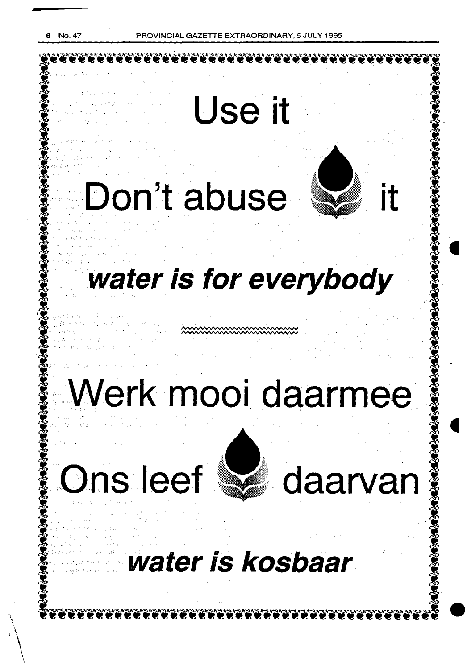

## **Werk mooi daarmee**

# **Ons leef**  $\mathbb{Z}$  daarvan



## water is kosbaar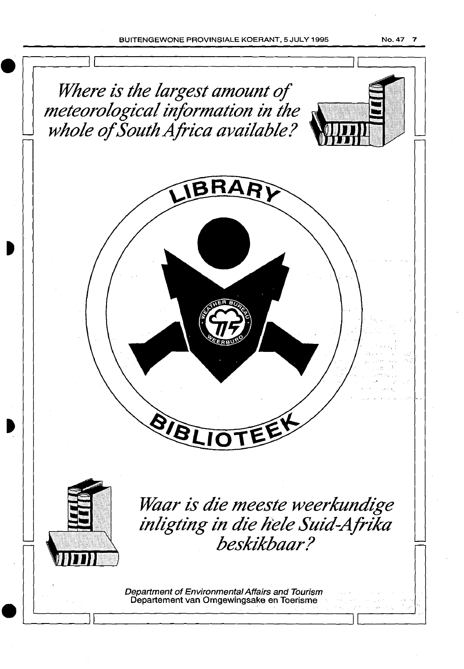